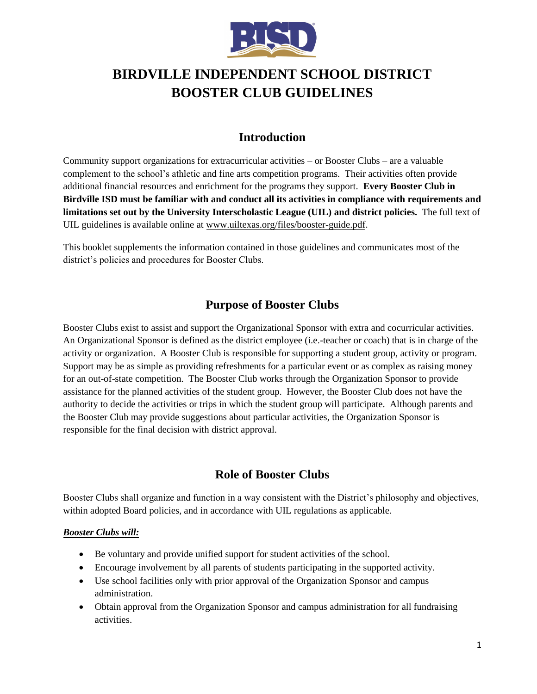

# **BIRDVILLE INDEPENDENT SCHOOL DISTRICT BOOSTER CLUB GUIDELINES**

# **Introduction**

Community support organizations for extracurricular activities – or Booster Clubs – are a valuable complement to the school's athletic and fine arts competition programs. Their activities often provide additional financial resources and enrichment for the programs they support. **Every Booster Club in Birdville ISD must be familiar with and conduct all its activities in compliance with requirements and limitations set out by the University Interscholastic League (UIL) and district policies.** The full text of UIL guidelines is available online a[t www.uiltexas.org/files/booster-guide.pdf](http://www.uiltexas.org/files/booster-guide.pdf).

This booklet supplements the information contained in those guidelines and communicates most of the district's policies and procedures for Booster Clubs.

# **Purpose of Booster Clubs**

Booster Clubs exist to assist and support the Organizational Sponsor with extra and cocurricular activities. An Organizational Sponsor is defined as the district employee (i.e.-teacher or coach) that is in charge of the activity or organization. A Booster Club is responsible for supporting a student group, activity or program. Support may be as simple as providing refreshments for a particular event or as complex as raising money for an out-of-state competition. The Booster Club works through the Organization Sponsor to provide assistance for the planned activities of the student group. However, the Booster Club does not have the authority to decide the activities or trips in which the student group will participate. Although parents and the Booster Club may provide suggestions about particular activities, the Organization Sponsor is responsible for the final decision with district approval.

# **Role of Booster Clubs**

Booster Clubs shall organize and function in a way consistent with the District's philosophy and objectives, within adopted Board policies, and in accordance with UIL regulations as applicable.

# *Booster Clubs will:*

- Be voluntary and provide unified support for student activities of the school.
- Encourage involvement by all parents of students participating in the supported activity.
- Use school facilities only with prior approval of the Organization Sponsor and campus administration.
- Obtain approval from the Organization Sponsor and campus administration for all fundraising activities.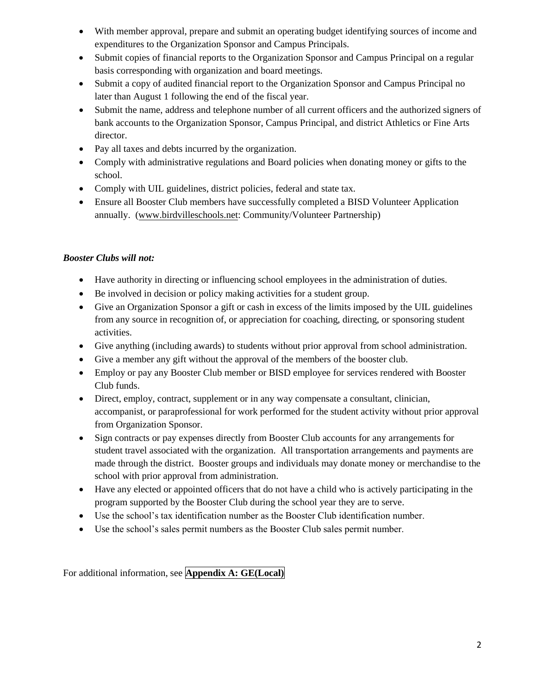- With member approval, prepare and submit an operating budget identifying sources of income and expenditures to the Organization Sponsor and Campus Principals.
- Submit copies of financial reports to the Organization Sponsor and Campus Principal on a regular basis corresponding with organization and board meetings.
- Submit a copy of audited financial report to the Organization Sponsor and Campus Principal no later than August 1 following the end of the fiscal year.
- Submit the name, address and telephone number of all current officers and the authorized signers of bank accounts to the Organization Sponsor, Campus Principal, and district Athletics or Fine Arts director.
- Pay all taxes and debts incurred by the organization.
- Comply with administrative regulations and Board policies when donating money or gifts to the school.
- Comply with UIL guidelines, district policies, federal and state tax.
- Ensure all Booster Club members have successfully completed a BISD Volunteer Application annually. [\(www.birdvilleschools.net:](http://www.birdvilleschools.net/) Community/Volunteer Partnership)

# *Booster Clubs will not:*

- Have authority in directing or influencing school employees in the administration of duties.
- Be involved in decision or policy making activities for a student group.
- Give an Organization Sponsor a gift or cash in excess of the limits imposed by the UIL guidelines from any source in recognition of, or appreciation for coaching, directing, or sponsoring student activities.
- Give anything (including awards) to students without prior approval from school administration.
- Give a member any gift without the approval of the members of the booster club.
- Employ or pay any Booster Club member or BISD employee for services rendered with Booster Club funds.
- Direct, employ, contract, supplement or in any way compensate a consultant, clinician, accompanist, or paraprofessional for work performed for the student activity without prior approval from Organization Sponsor.
- Sign contracts or pay expenses directly from Booster Club accounts for any arrangements for student travel associated with the organization. All transportation arrangements and payments are made through the district. Booster groups and individuals may donate money or merchandise to the school with prior approval from administration.
- Have any elected or appointed officers that do not have a child who is actively participating in the program supported by the Booster Club during the school year they are to serve.
- Use the school's tax identification number as the Booster Club identification number.
- Use the school's sales permit numbers as the Booster Club sales permit number.

For additional information, see **Appendix A: GE(Local)**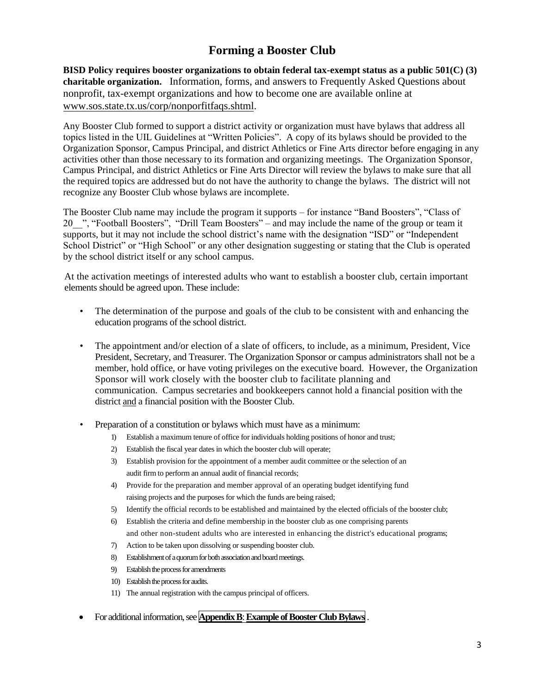# **Forming a Booster Club**

**BISD Policy requires booster organizations to obtain federal tax-exempt status as a public 501(C) (3) charitable organization.** Information, forms, and answers to Frequently Asked Questions about nonprofit, tax-exempt organizations and how to become one are available online at [www.sos.state.tx.us/corp/nonporfitfaqs.shtml.](http://www.sos.state.tx.us/corp/nonporfitfaqs.shtml)

Any Booster Club formed to support a district activity or organization must have bylaws that address all topics listed in the UIL Guidelines at "Written Policies". A copy of its bylaws should be provided to the Organization Sponsor, Campus Principal, and district Athletics or Fine Arts director before engaging in any activities other than those necessary to its formation and organizing meetings. The Organization Sponsor, Campus Principal, and district Athletics or Fine Arts Director will review the bylaws to make sure that all the required topics are addressed but do not have the authority to change the bylaws. The district will not recognize any Booster Club whose bylaws are incomplete.

The Booster Club name may include the program it supports – for instance "Band Boosters", "Class of 20\_\_", "Football Boosters", "Drill Team Boosters" – and may include the name of the group or team it supports, but it may not include the school district's name with the designation "ISD" or "Independent School District" or "High School" or any other designation suggesting or stating that the Club is operated by the school district itself or any school campus.

At the activation meetings of interested adults who want to establish a booster club, certain important elements should be agreed upon. These include:

- The determination of the purpose and goals of the club to be consistent with and enhancing the education programs of the school district.
- The appointment and/or election of a slate of officers, to include, as a minimum, President, Vice President, Secretary, and Treasurer. The Organization Sponsor or campus administrators shall not be a member, hold office, or have voting privileges on the executive board. However, the Organization Sponsor will work closely with the booster club to facilitate planning and communication. Campus secretaries and bookkeepers cannot hold a financial position with the district and a financial position with the Booster Club.
- Preparation of a constitution or bylaws which must have as a minimum:
	- 1) Establish a maximum tenure of office for individuals holding positions of honor and trust;
	- 2) Establish the fiscal year dates in which the booster club will operate;
	- 3) Establish provision for the appointment of a member audit committee or the selection of an audit firm to perform an annual audit of financial records;
	- 4) Provide for the preparation and member approval of an operating budget identifying fund raising projects and the purposes for which the funds are being raised;
	- 5) Identify the official records to be established and maintained by the elected officials of the booster club;
	- 6) Establish the criteria and define membership in the booster club as one comprising parents and other non-student adults who are interested in enhancing the district's educational programs;
	- 7) Action to be taken upon dissolving or suspending booster club.
	- 8) Establishment of a quorum for both association and board meetings.
	- 9) Establish the process for amendments
	- 10) Establish the process for audits.
	- 11) The annual registration with the campus principal of officers.
- For additional information, see **Appendix B: Example of Booster Club Bylaws**.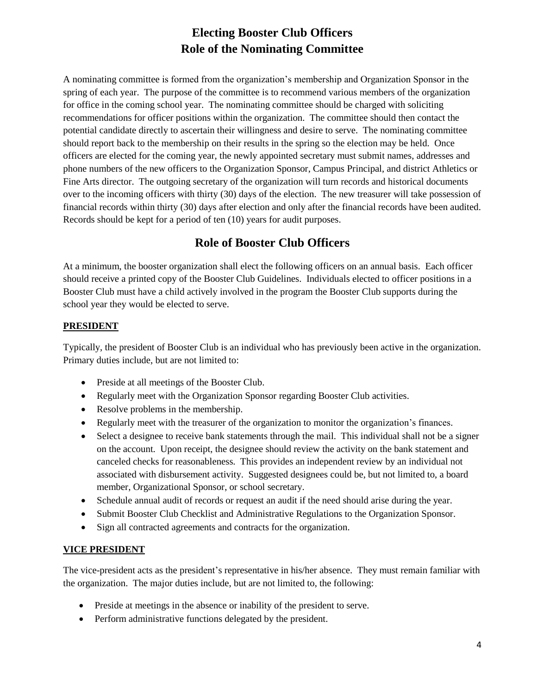# **Electing Booster Club Officers Role of the Nominating Committee**

A nominating committee is formed from the organization's membership and Organization Sponsor in the spring of each year. The purpose of the committee is to recommend various members of the organization for office in the coming school year. The nominating committee should be charged with soliciting recommendations for officer positions within the organization. The committee should then contact the potential candidate directly to ascertain their willingness and desire to serve. The nominating committee should report back to the membership on their results in the spring so the election may be held. Once officers are elected for the coming year, the newly appointed secretary must submit names, addresses and phone numbers of the new officers to the Organization Sponsor, Campus Principal, and district Athletics or Fine Arts director. The outgoing secretary of the organization will turn records and historical documents over to the incoming officers with thirty (30) days of the election. The new treasurer will take possession of financial records within thirty (30) days after election and only after the financial records have been audited. Records should be kept for a period of ten (10) years for audit purposes.

# **Role of Booster Club Officers**

At a minimum, the booster organization shall elect the following officers on an annual basis. Each officer should receive a printed copy of the Booster Club Guidelines. Individuals elected to officer positions in a Booster Club must have a child actively involved in the program the Booster Club supports during the school year they would be elected to serve.

# **PRESIDENT**

Typically, the president of Booster Club is an individual who has previously been active in the organization. Primary duties include, but are not limited to:

- Preside at all meetings of the Booster Club.
- Regularly meet with the Organization Sponsor regarding Booster Club activities.
- Resolve problems in the membership.
- Regularly meet with the treasurer of the organization to monitor the organization's finances.
- Select a designee to receive bank statements through the mail. This individual shall not be a signer on the account. Upon receipt, the designee should review the activity on the bank statement and canceled checks for reasonableness. This provides an independent review by an individual not associated with disbursement activity. Suggested designees could be, but not limited to, a board member, Organizational Sponsor, or school secretary.
- Schedule annual audit of records or request an audit if the need should arise during the year.
- Submit Booster Club Checklist and Administrative Regulations to the Organization Sponsor.
- Sign all contracted agreements and contracts for the organization.

# **VICE PRESIDENT**

The vice-president acts as the president's representative in his/her absence. They must remain familiar with the organization. The major duties include, but are not limited to, the following:

- Preside at meetings in the absence or inability of the president to serve.
- Perform administrative functions delegated by the president.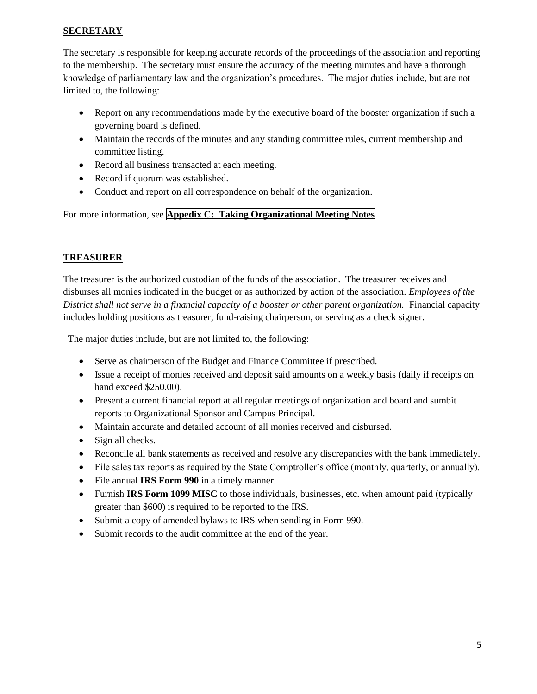# **SECRETARY**

The secretary is responsible for keeping accurate records of the proceedings of the association and reporting to the membership. The secretary must ensure the accuracy of the meeting minutes and have a thorough knowledge of parliamentary law and the organization's procedures. The major duties include, but are not limited to, the following:

- Report on any recommendations made by the executive board of the booster organization if such a governing board is defined.
- Maintain the records of the minutes and any standing committee rules, current membership and committee listing.
- Record all business transacted at each meeting.
- Record if quorum was established.
- Conduct and report on all correspondence on behalf of the organization.

For more information, see **Appedix C: Taking Organizational Meeting Notes**

# **TREASURER**

The treasurer is the authorized custodian of the funds of the association. The treasurer receives and disburses all monies indicated in the budget or as authorized by action of the association. *Employees of the District shall not serve in a financial capacity of a booster or other parent organization.* Financial capacity includes holding positions as treasurer, fund-raising chairperson, or serving as a check signer.

The major duties include, but are not limited to, the following:

- Serve as chairperson of the Budget and Finance Committee if prescribed.
- Issue a receipt of monies received and deposit said amounts on a weekly basis (daily if receipts on hand exceed \$250.00).
- Present a current financial report at all regular meetings of organization and board and sumbit reports to Organizational Sponsor and Campus Principal.
- Maintain accurate and detailed account of all monies received and disbursed.
- Sign all checks.
- Reconcile all bank statements as received and resolve any discrepancies with the bank immediately.
- File sales tax reports as required by the State Comptroller's office (monthly, quarterly, or annually).
- File annual **IRS Form 990** in a timely manner.
- Furnish **IRS Form 1099 MISC** to those individuals, businesses, etc. when amount paid (typically greater than \$600) is required to be reported to the IRS.
- Submit a copy of amended bylaws to IRS when sending in Form 990.
- Submit records to the audit committee at the end of the year.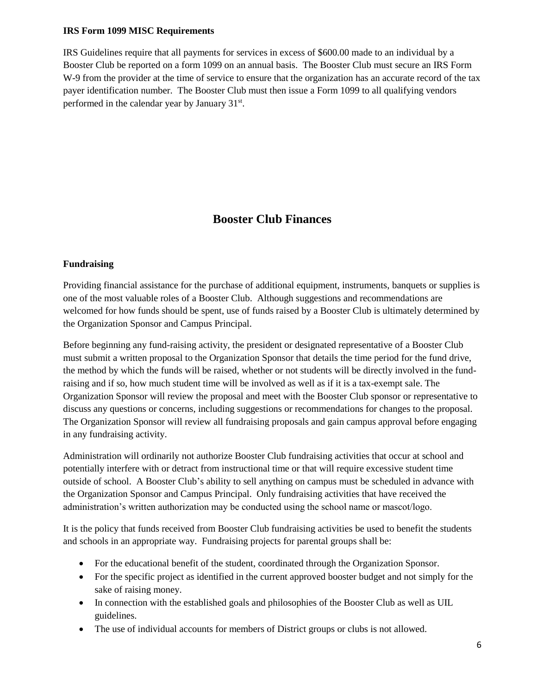### **IRS Form 1099 MISC Requirements**

IRS Guidelines require that all payments for services in excess of \$600.00 made to an individual by a Booster Club be reported on a form 1099 on an annual basis. The Booster Club must secure an IRS Form W-9 from the provider at the time of service to ensure that the organization has an accurate record of the tax payer identification number. The Booster Club must then issue a Form 1099 to all qualifying vendors performed in the calendar year by January 31<sup>st</sup>.

# **Booster Club Finances**

#### **Fundraising**

Providing financial assistance for the purchase of additional equipment, instruments, banquets or supplies is one of the most valuable roles of a Booster Club. Although suggestions and recommendations are welcomed for how funds should be spent, use of funds raised by a Booster Club is ultimately determined by the Organization Sponsor and Campus Principal.

Before beginning any fund-raising activity, the president or designated representative of a Booster Club must submit a written proposal to the Organization Sponsor that details the time period for the fund drive, the method by which the funds will be raised, whether or not students will be directly involved in the fundraising and if so, how much student time will be involved as well as if it is a tax-exempt sale. The Organization Sponsor will review the proposal and meet with the Booster Club sponsor or representative to discuss any questions or concerns, including suggestions or recommendations for changes to the proposal. The Organization Sponsor will review all fundraising proposals and gain campus approval before engaging in any fundraising activity.

Administration will ordinarily not authorize Booster Club fundraising activities that occur at school and potentially interfere with or detract from instructional time or that will require excessive student time outside of school. A Booster Club's ability to sell anything on campus must be scheduled in advance with the Organization Sponsor and Campus Principal. Only fundraising activities that have received the administration's written authorization may be conducted using the school name or mascot/logo.

It is the policy that funds received from Booster Club fundraising activities be used to benefit the students and schools in an appropriate way. Fundraising projects for parental groups shall be:

- For the educational benefit of the student, coordinated through the Organization Sponsor.
- For the specific project as identified in the current approved booster budget and not simply for the sake of raising money.
- In connection with the established goals and philosophies of the Booster Club as well as UIL guidelines.
- The use of individual accounts for members of District groups or clubs is not allowed.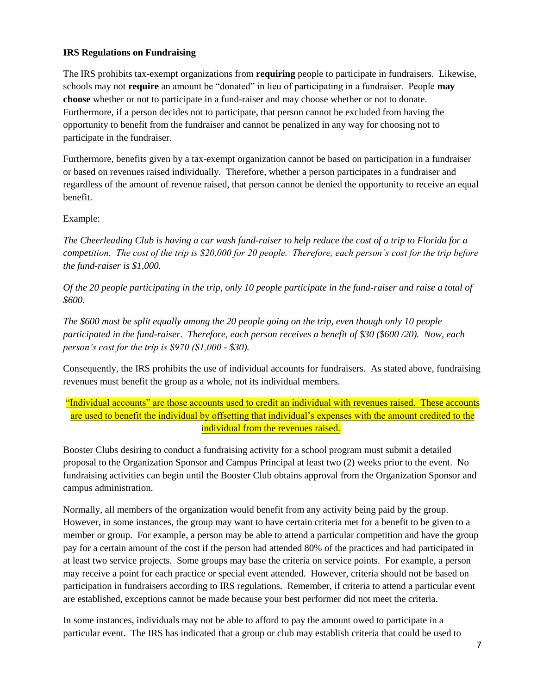# **IRS Regulations on Fundraising**

The IRS prohibits tax-exempt organizations from **requiring** people to participate in fundraisers. Likewise, schools may not **require** an amount be "donated" in lieu of participating in a fundraiser. People **may choose** whether or not to participate in a fund-raiser and may choose whether or not to donate. Furthermore, if a person decides not to participate, that person cannot be excluded from having the opportunity to benefit from the fundraiser and cannot be penalized in any way for choosing not to participate in the fundraiser.

Furthermore, benefits given by a tax-exempt organization cannot be based on participation in a fundraiser or based on revenues raised individually. Therefore, whether a person participates in a fundraiser and regardless of the amount of revenue raised, that person cannot be denied the opportunity to receive an equal benefit.

# Example:

*The Cheerleading Club is having a car wash fund-raiser to help reduce the cost of a trip to Florida for a competition. The cost of the trip is \$20,000 for 20 people. Therefore, each person's cost for the trip before the fund-raiser is \$1,000.*

*Of the 20 people participating in the trip, only 10 people participate in the fund-raiser and raise a total of \$600.*

*The \$600 must be split equally among the 20 people going on the trip, even though only 10 people participated in the fund-raiser. Therefore, each person receives a benefit of \$30 (\$600 /20). Now, each person's cost for the trip is \$970 (\$1,000 - \$30).*

Consequently, the IRS prohibits the use of individual accounts for fundraisers. As stated above, fundraising revenues must benefit the group as a whole, not its individual members.

"Individual accounts" are those accounts used to credit an individual with revenues raised. These accounts are used to benefit the individual by offsetting that individual's expenses with the amount credited to the individual from the revenues raised.

Booster Clubs desiring to conduct a fundraising activity for a school program must submit a detailed proposal to the Organization Sponsor and Campus Principal at least two (2) weeks prior to the event. No fundraising activities can begin until the Booster Club obtains approval from the Organization Sponsor and campus administration.

Normally, all members of the organization would benefit from any activity being paid by the group. However, in some instances, the group may want to have certain criteria met for a benefit to be given to a member or group. For example, a person may be able to attend a particular competition and have the group pay for a certain amount of the cost if the person had attended 80% of the practices and had participated in at least two service projects. Some groups may base the criteria on service points. For example, a person may receive a point for each practice or special event attended. However, criteria should not be based on participation in fundraisers according to IRS regulations. Remember, if criteria to attend a particular event are established, exceptions cannot be made because your best performer did not meet the criteria.

In some instances, individuals may not be able to afford to pay the amount owed to participate in a particular event. The IRS has indicated that a group or club may establish criteria that could be used to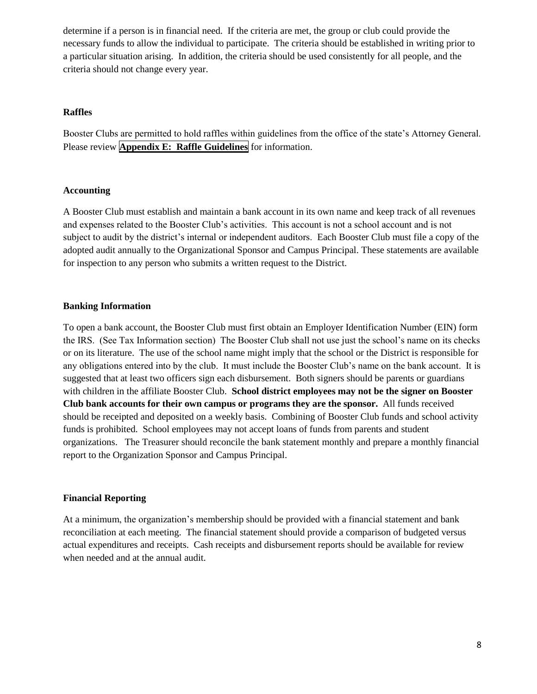determine if a person is in financial need. If the criteria are met, the group or club could provide the necessary funds to allow the individual to participate. The criteria should be established in writing prior to a particular situation arising. In addition, the criteria should be used consistently for all people, and the criteria should not change every year.

#### **Raffles**

Booster Clubs are permitted to hold raffles within guidelines from the office of the state's Attorney General. Please review **Appendix E: Raffle Guidelines** for information.

#### **Accounting**

A Booster Club must establish and maintain a bank account in its own name and keep track of all revenues and expenses related to the Booster Club's activities. This account is not a school account and is not subject to audit by the district's internal or independent auditors. Each Booster Club must file a copy of the adopted audit annually to the Organizational Sponsor and Campus Principal. These statements are available for inspection to any person who submits a written request to the District.

#### **Banking Information**

To open a bank account, the Booster Club must first obtain an Employer Identification Number (EIN) form the IRS. (See Tax Information section) The Booster Club shall not use just the school's name on its checks or on its literature. The use of the school name might imply that the school or the District is responsible for any obligations entered into by the club. It must include the Booster Club's name on the bank account. It is suggested that at least two officers sign each disbursement. Both signers should be parents or guardians with children in the affiliate Booster Club. **School district employees may not be the signer on Booster Club bank accounts for their own campus or programs they are the sponsor.** All funds received should be receipted and deposited on a weekly basis. Combining of Booster Club funds and school activity funds is prohibited. School employees may not accept loans of funds from parents and student organizations. The Treasurer should reconcile the bank statement monthly and prepare a monthly financial report to the Organization Sponsor and Campus Principal.

#### **Financial Reporting**

At a minimum, the organization's membership should be provided with a financial statement and bank reconciliation at each meeting. The financial statement should provide a comparison of budgeted versus actual expenditures and receipts. Cash receipts and disbursement reports should be available for review when needed and at the annual audit.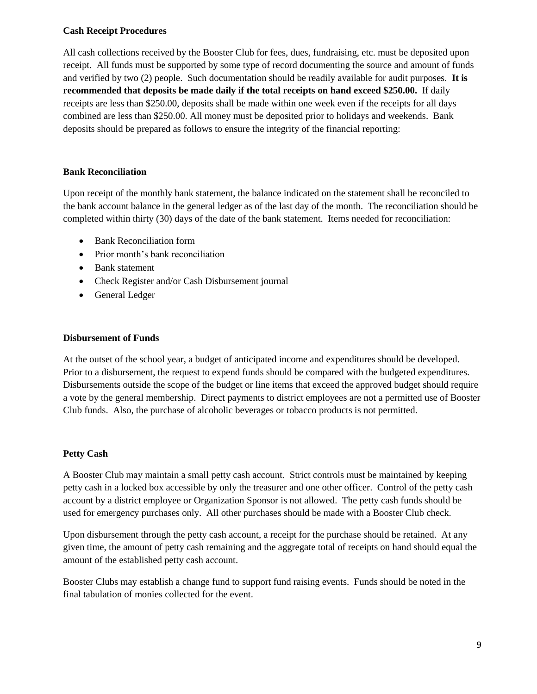#### **Cash Receipt Procedures**

All cash collections received by the Booster Club for fees, dues, fundraising, etc. must be deposited upon receipt. All funds must be supported by some type of record documenting the source and amount of funds and verified by two (2) people. Such documentation should be readily available for audit purposes. **It is recommended that deposits be made daily if the total receipts on hand exceed \$250.00.** If daily receipts are less than \$250.00, deposits shall be made within one week even if the receipts for all days combined are less than \$250.00. All money must be deposited prior to holidays and weekends. Bank deposits should be prepared as follows to ensure the integrity of the financial reporting:

#### **Bank Reconciliation**

Upon receipt of the monthly bank statement, the balance indicated on the statement shall be reconciled to the bank account balance in the general ledger as of the last day of the month. The reconciliation should be completed within thirty (30) days of the date of the bank statement. Items needed for reconciliation:

- Bank Reconciliation form
- Prior month's bank reconciliation
- Bank statement
- Check Register and/or Cash Disbursement journal
- General Ledger

#### **Disbursement of Funds**

At the outset of the school year, a budget of anticipated income and expenditures should be developed. Prior to a disbursement, the request to expend funds should be compared with the budgeted expenditures. Disbursements outside the scope of the budget or line items that exceed the approved budget should require a vote by the general membership. Direct payments to district employees are not a permitted use of Booster Club funds. Also, the purchase of alcoholic beverages or tobacco products is not permitted.

#### **Petty Cash**

A Booster Club may maintain a small petty cash account. Strict controls must be maintained by keeping petty cash in a locked box accessible by only the treasurer and one other officer. Control of the petty cash account by a district employee or Organization Sponsor is not allowed. The petty cash funds should be used for emergency purchases only. All other purchases should be made with a Booster Club check.

Upon disbursement through the petty cash account, a receipt for the purchase should be retained. At any given time, the amount of petty cash remaining and the aggregate total of receipts on hand should equal the amount of the established petty cash account.

Booster Clubs may establish a change fund to support fund raising events. Funds should be noted in the final tabulation of monies collected for the event.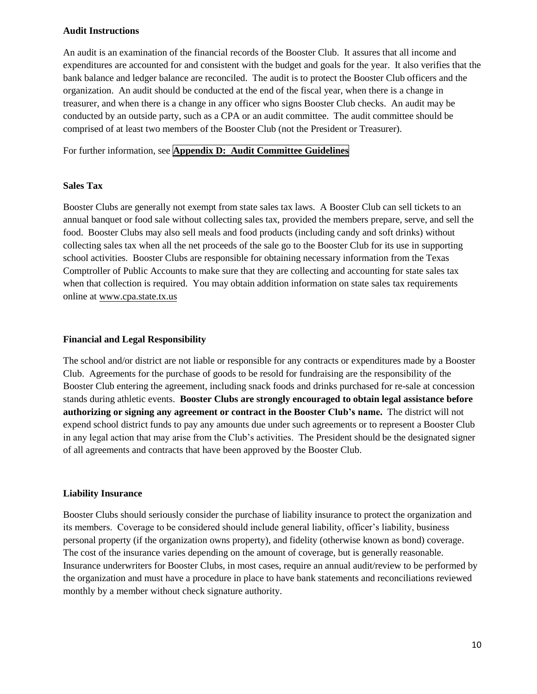#### **Audit Instructions**

An audit is an examination of the financial records of the Booster Club. It assures that all income and expenditures are accounted for and consistent with the budget and goals for the year. It also verifies that the bank balance and ledger balance are reconciled. The audit is to protect the Booster Club officers and the organization. An audit should be conducted at the end of the fiscal year, when there is a change in treasurer, and when there is a change in any officer who signs Booster Club checks. An audit may be conducted by an outside party, such as a CPA or an audit committee. The audit committee should be comprised of at least two members of the Booster Club (not the President or Treasurer).

For further information, see **Appendix D: Audit Committee Guidelines**

#### **Sales Tax**

Booster Clubs are generally not exempt from state sales tax laws. A Booster Club can sell tickets to an annual banquet or food sale without collecting sales tax, provided the members prepare, serve, and sell the food. Booster Clubs may also sell meals and food products (including candy and soft drinks) without collecting sales tax when all the net proceeds of the sale go to the Booster Club for its use in supporting school activities. Booster Clubs are responsible for obtaining necessary information from the Texas Comptroller of Public Accounts to make sure that they are collecting and accounting for state sales tax when that collection is required. You may obtain addition information on state sales tax requirements online at [www.cpa.state.tx.us](http://www.cpa.state.tx.us/) 

#### **Financial and Legal Responsibility**

The school and/or district are not liable or responsible for any contracts or expenditures made by a Booster Club. Agreements for the purchase of goods to be resold for fundraising are the responsibility of the Booster Club entering the agreement, including snack foods and drinks purchased for re-sale at concession stands during athletic events. **Booster Clubs are strongly encouraged to obtain legal assistance before authorizing or signing any agreement or contract in the Booster Club's name.** The district will not expend school district funds to pay any amounts due under such agreements or to represent a Booster Club in any legal action that may arise from the Club's activities. The President should be the designated signer of all agreements and contracts that have been approved by the Booster Club.

#### **Liability Insurance**

Booster Clubs should seriously consider the purchase of liability insurance to protect the organization and its members. Coverage to be considered should include general liability, officer's liability, business personal property (if the organization owns property), and fidelity (otherwise known as bond) coverage. The cost of the insurance varies depending on the amount of coverage, but is generally reasonable. Insurance underwriters for Booster Clubs, in most cases, require an annual audit/review to be performed by the organization and must have a procedure in place to have bank statements and reconciliations reviewed monthly by a member without check signature authority.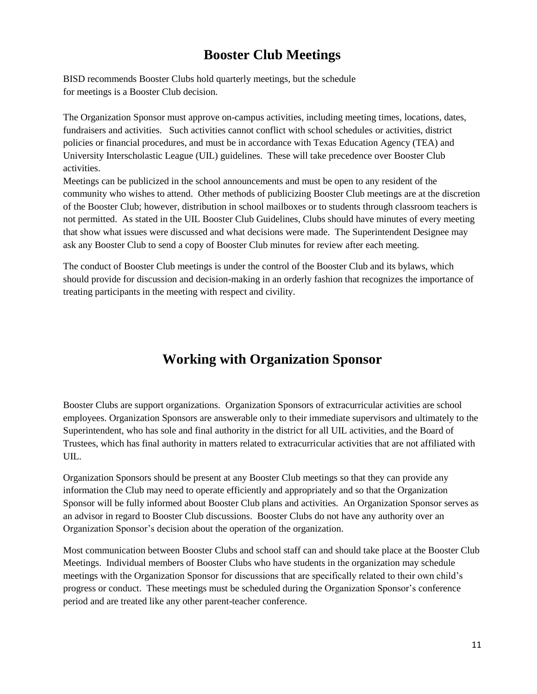# **Booster Club Meetings**

BISD recommends Booster Clubs hold quarterly meetings, but the schedule for meetings is a Booster Club decision.

The Organization Sponsor must approve on-campus activities, including meeting times, locations, dates, fundraisers and activities. Such activities cannot conflict with school schedules or activities, district policies or financial procedures, and must be in accordance with Texas Education Agency (TEA) and University Interscholastic League (UIL) guidelines. These will take precedence over Booster Club activities.

Meetings can be publicized in the school announcements and must be open to any resident of the community who wishes to attend. Other methods of publicizing Booster Club meetings are at the discretion of the Booster Club; however, distribution in school mailboxes or to students through classroom teachers is not permitted. As stated in the UIL Booster Club Guidelines, Clubs should have minutes of every meeting that show what issues were discussed and what decisions were made. The Superintendent Designee may ask any Booster Club to send a copy of Booster Club minutes for review after each meeting.

The conduct of Booster Club meetings is under the control of the Booster Club and its bylaws, which should provide for discussion and decision-making in an orderly fashion that recognizes the importance of treating participants in the meeting with respect and civility.

# **Working with Organization Sponsor**

Booster Clubs are support organizations. Organization Sponsors of extracurricular activities are school employees. Organization Sponsors are answerable only to their immediate supervisors and ultimately to the Superintendent, who has sole and final authority in the district for all UIL activities, and the Board of Trustees, which has final authority in matters related to extracurricular activities that are not affiliated with UIL.

Organization Sponsors should be present at any Booster Club meetings so that they can provide any information the Club may need to operate efficiently and appropriately and so that the Organization Sponsor will be fully informed about Booster Club plans and activities. An Organization Sponsor serves as an advisor in regard to Booster Club discussions. Booster Clubs do not have any authority over an Organization Sponsor's decision about the operation of the organization.

Most communication between Booster Clubs and school staff can and should take place at the Booster Club Meetings. Individual members of Booster Clubs who have students in the organization may schedule meetings with the Organization Sponsor for discussions that are specifically related to their own child's progress or conduct. These meetings must be scheduled during the Organization Sponsor's conference period and are treated like any other parent-teacher conference.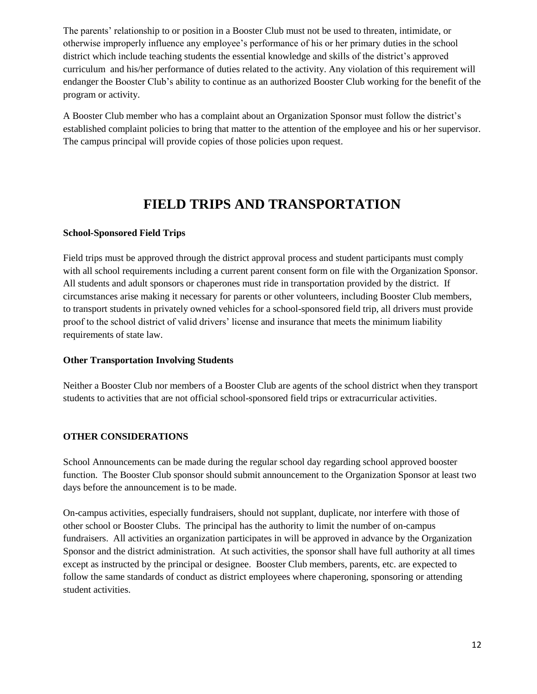The parents' relationship to or position in a Booster Club must not be used to threaten, intimidate, or otherwise improperly influence any employee's performance of his or her primary duties in the school district which include teaching students the essential knowledge and skills of the district's approved curriculum and his/her performance of duties related to the activity. Any violation of this requirement will endanger the Booster Club's ability to continue as an authorized Booster Club working for the benefit of the program or activity.

A Booster Club member who has a complaint about an Organization Sponsor must follow the district's established complaint policies to bring that matter to the attention of the employee and his or her supervisor. The campus principal will provide copies of those policies upon request.

# **FIELD TRIPS AND TRANSPORTATION**

#### **School-Sponsored Field Trips**

Field trips must be approved through the district approval process and student participants must comply with all school requirements including a current parent consent form on file with the Organization Sponsor. All students and adult sponsors or chaperones must ride in transportation provided by the district. If circumstances arise making it necessary for parents or other volunteers, including Booster Club members, to transport students in privately owned vehicles for a school-sponsored field trip, all drivers must provide proof to the school district of valid drivers' license and insurance that meets the minimum liability requirements of state law.

#### **Other Transportation Involving Students**

Neither a Booster Club nor members of a Booster Club are agents of the school district when they transport students to activities that are not official school-sponsored field trips or extracurricular activities.

# **OTHER CONSIDERATIONS**

School Announcements can be made during the regular school day regarding school approved booster function. The Booster Club sponsor should submit announcement to the Organization Sponsor at least two days before the announcement is to be made.

On-campus activities, especially fundraisers, should not supplant, duplicate, nor interfere with those of other school or Booster Clubs. The principal has the authority to limit the number of on-campus fundraisers. All activities an organization participates in will be approved in advance by the Organization Sponsor and the district administration. At such activities, the sponsor shall have full authority at all times except as instructed by the principal or designee. Booster Club members, parents, etc. are expected to follow the same standards of conduct as district employees where chaperoning, sponsoring or attending student activities.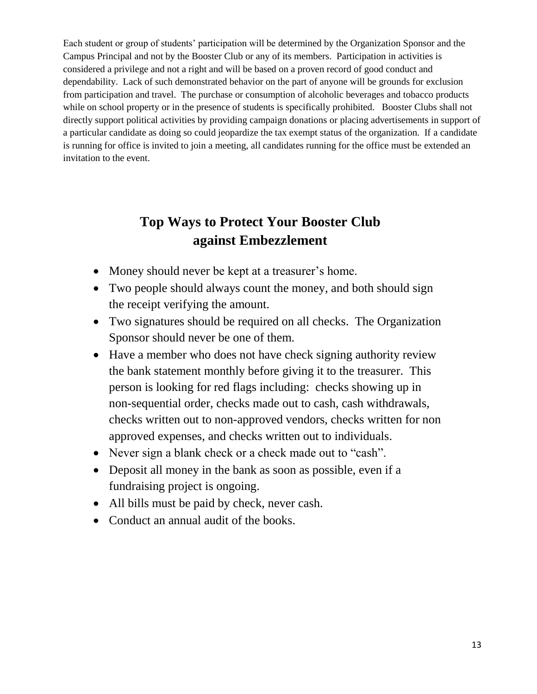Each student or group of students' participation will be determined by the Organization Sponsor and the Campus Principal and not by the Booster Club or any of its members. Participation in activities is considered a privilege and not a right and will be based on a proven record of good conduct and dependability. Lack of such demonstrated behavior on the part of anyone will be grounds for exclusion from participation and travel. The purchase or consumption of alcoholic beverages and tobacco products while on school property or in the presence of students is specifically prohibited. Booster Clubs shall not directly support political activities by providing campaign donations or placing advertisements in support of a particular candidate as doing so could jeopardize the tax exempt status of the organization. If a candidate is running for office is invited to join a meeting, all candidates running for the office must be extended an invitation to the event.

# **Top Ways to Protect Your Booster Club against Embezzlement**

- Money should never be kept at a treasurer's home.
- Two people should always count the money, and both should sign the receipt verifying the amount.
- Two signatures should be required on all checks. The Organization Sponsor should never be one of them.
- Have a member who does not have check signing authority review the bank statement monthly before giving it to the treasurer. This person is looking for red flags including: checks showing up in non-sequential order, checks made out to cash, cash withdrawals, checks written out to non-approved vendors, checks written for non approved expenses, and checks written out to individuals.
- Never sign a blank check or a check made out to "cash".
- Deposit all money in the bank as soon as possible, even if a fundraising project is ongoing.
- All bills must be paid by check, never cash.
- Conduct an annual audit of the books.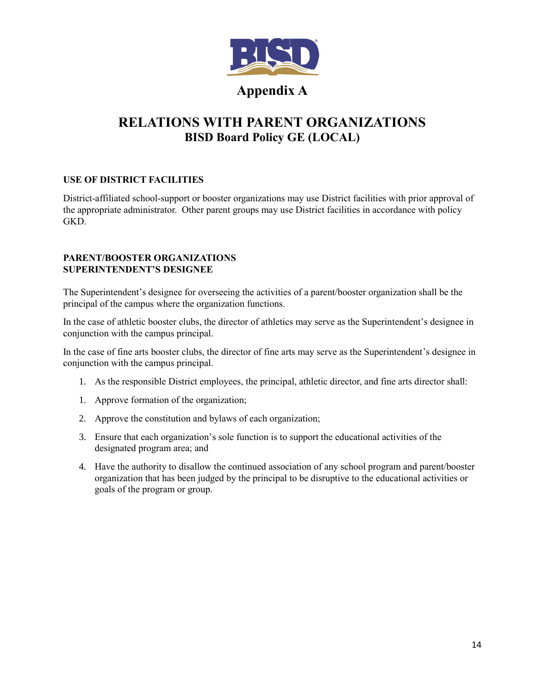

# **Appendix A**

# **RELATIONS WITH PARENT ORGANIZATIONS BISD Board Policy GE (LOCAL)**

# **USE OF DISTRICT FACILITIES**

District-affiliated school-support or booster organizations may use District facilities with prior approval of the appropriate administrator. Other parent groups may use District facilities in accordance with policy GKD.

#### **PARENT/BOOSTER ORGANIZATIONS SUPERINTENDENT'S DESIGNEE**

The Superintendent's designee for overseeing the activities of a parent/booster organization shall be the principal of the campus where the organization functions.

In the case of athletic booster clubs, the director of athletics may serve as the Superintendent's designee in conjunction with the campus principal.

In the case of fine arts booster clubs, the director of fine arts may serve as the Superintendent's designee in conjunction with the campus principal.

- 1. As the responsible District employees, the principal, athletic director, and fine arts director shall:
- 1. Approve formation of the organization;
- 2. Approve the constitution and bylaws of each organization;
- 3. Ensure that each organization's sole function is to support the educational activities of the designated program area; and
- 4. Have the authority to disallow the continued association of any school program and parent/booster organization that has been judged by the principal to be disruptive to the educational activities or goals of the program or group.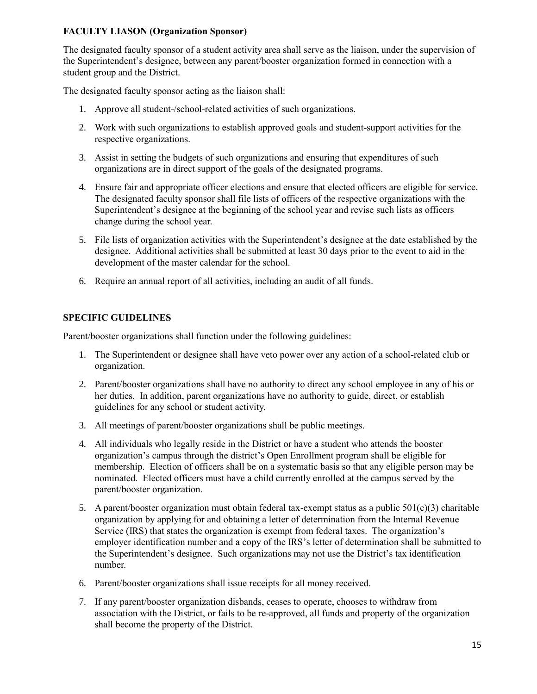# **FACULTY LIASON (Organization Sponsor)**

The designated faculty sponsor of a student activity area shall serve as the liaison, under the supervision of the Superintendent's designee, between any parent/booster organization formed in connection with a student group and the District.

The designated faculty sponsor acting as the liaison shall:

- 1. Approve all student-/school-related activities of such organizations.
- 2. Work with such organizations to establish approved goals and student-support activities for the respective organizations.
- 3. Assist in setting the budgets of such organizations and ensuring that expenditures of such organizations are in direct support of the goals of the designated programs.
- 4. Ensure fair and appropriate officer elections and ensure that elected officers are eligible for service. The designated faculty sponsor shall file lists of officers of the respective organizations with the Superintendent's designee at the beginning of the school year and revise such lists as officers change during the school year.
- 5. File lists of organization activities with the Superintendent's designee at the date established by the designee. Additional activities shall be submitted at least 30 days prior to the event to aid in the development of the master calendar for the school.
- 6. Require an annual report of all activities, including an audit of all funds.

# **SPECIFIC GUIDELINES**

Parent/booster organizations shall function under the following guidelines:

- 1. The Superintendent or designee shall have veto power over any action of a school-related club or organization.
- 2. Parent/booster organizations shall have no authority to direct any school employee in any of his or her duties. In addition, parent organizations have no authority to guide, direct, or establish guidelines for any school or student activity.
- 3. All meetings of parent/booster organizations shall be public meetings.
- 4. All individuals who legally reside in the District or have a student who attends the booster organization's campus through the district's Open Enrollment program shall be eligible for membership. Election of officers shall be on a systematic basis so that any eligible person may be nominated. Elected officers must have a child currently enrolled at the campus served by the parent/booster organization.
- 5. A parent/booster organization must obtain federal tax-exempt status as a public  $501(c)(3)$  charitable organization by applying for and obtaining a letter of determination from the Internal Revenue Service (IRS) that states the organization is exempt from federal taxes. The organization's employer identification number and a copy of the IRS's letter of determination shall be submitted to the Superintendent's designee. Such organizations may not use the District's tax identification number.
- 6. Parent/booster organizations shall issue receipts for all money received.
- 7. If any parent/booster organization disbands, ceases to operate, chooses to withdraw from association with the District, or fails to be re-approved, all funds and property of the organization shall become the property of the District.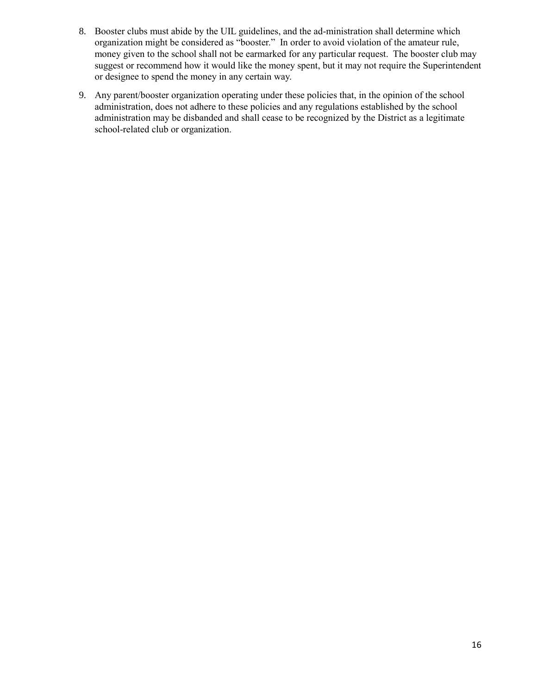- 8. Booster clubs must abide by the UIL guidelines, and the ad-ministration shall determine which organization might be considered as "booster." In order to avoid violation of the amateur rule, money given to the school shall not be earmarked for any particular request. The booster club may suggest or recommend how it would like the money spent, but it may not require the Superintendent or designee to spend the money in any certain way.
- 9. Any parent/booster organization operating under these policies that, in the opinion of the school administration, does not adhere to these policies and any regulations established by the school administration may be disbanded and shall cease to be recognized by the District as a legitimate school-related club or organization.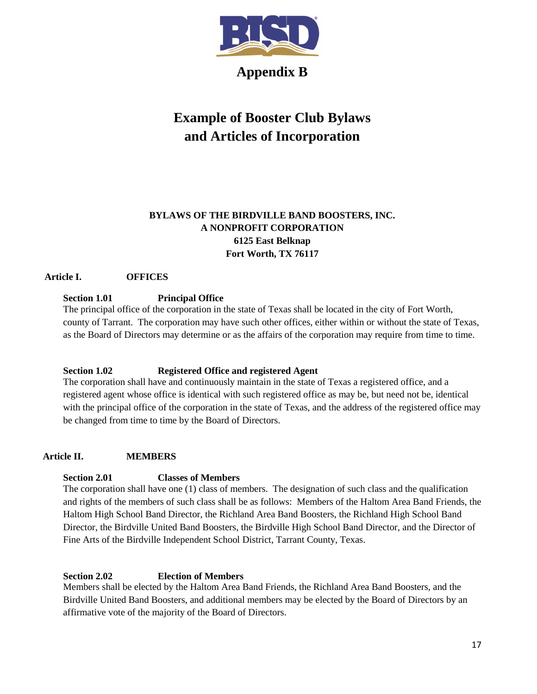

**Appendix B**

# **Example of Booster Club Bylaws and Articles of Incorporation**

# **BYLAWS OF THE BIRDVILLE BAND BOOSTERS, INC. A NONPROFIT CORPORATION 6125 East Belknap Fort Worth, TX 76117**

# **Article I. OFFICES**

# **Section 1.01 Principal Office**

The principal office of the corporation in the state of Texas shall be located in the city of Fort Worth, county of Tarrant. The corporation may have such other offices, either within or without the state of Texas, as the Board of Directors may determine or as the affairs of the corporation may require from time to time.

# **Section 1.02 Registered Office and registered Agent**

The corporation shall have and continuously maintain in the state of Texas a registered office, and a registered agent whose office is identical with such registered office as may be, but need not be, identical with the principal office of the corporation in the state of Texas, and the address of the registered office may be changed from time to time by the Board of Directors.

# **Article II. MEMBERS**

# **Section 2.01 Classes of Members**

The corporation shall have one (1) class of members. The designation of such class and the qualification and rights of the members of such class shall be as follows: Members of the Haltom Area Band Friends, the Haltom High School Band Director, the Richland Area Band Boosters, the Richland High School Band Director, the Birdville United Band Boosters, the Birdville High School Band Director, and the Director of Fine Arts of the Birdville Independent School District, Tarrant County, Texas.

# **Section 2.02 Election of Members**

Members shall be elected by the Haltom Area Band Friends, the Richland Area Band Boosters, and the Birdville United Band Boosters, and additional members may be elected by the Board of Directors by an affirmative vote of the majority of the Board of Directors.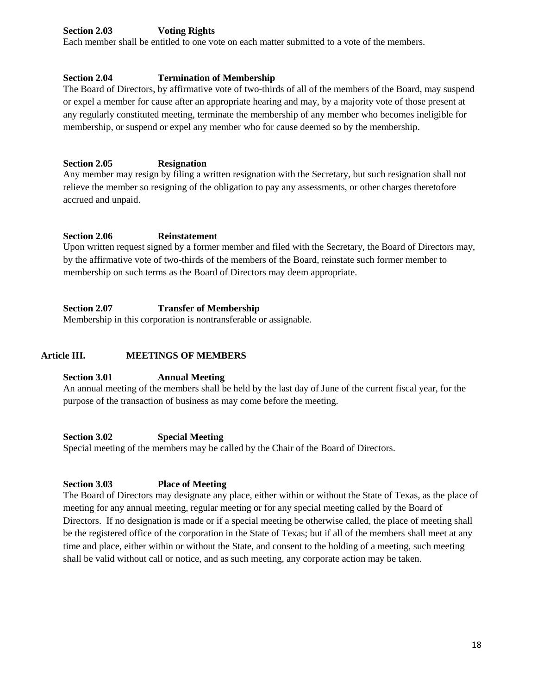# **Section 2.03 Voting Rights**

Each member shall be entitled to one vote on each matter submitted to a vote of the members.

#### **Section 2.04 Termination of Membership**

The Board of Directors, by affirmative vote of two-thirds of all of the members of the Board, may suspend or expel a member for cause after an appropriate hearing and may, by a majority vote of those present at any regularly constituted meeting, terminate the membership of any member who becomes ineligible for membership, or suspend or expel any member who for cause deemed so by the membership.

#### **Section 2.05 Resignation**

Any member may resign by filing a written resignation with the Secretary, but such resignation shall not relieve the member so resigning of the obligation to pay any assessments, or other charges theretofore accrued and unpaid.

#### **Section 2.06 Reinstatement**

Upon written request signed by a former member and filed with the Secretary, the Board of Directors may, by the affirmative vote of two-thirds of the members of the Board, reinstate such former member to membership on such terms as the Board of Directors may deem appropriate.

#### **Section 2.07 Transfer of Membership**

Membership in this corporation is nontransferable or assignable.

#### **Article III. MEETINGS OF MEMBERS**

#### **Section 3.01 Annual Meeting**

An annual meeting of the members shall be held by the last day of June of the current fiscal year, for the purpose of the transaction of business as may come before the meeting.

#### **Section 3.02 Special Meeting**

Special meeting of the members may be called by the Chair of the Board of Directors.

#### **Section 3.03 Place of Meeting**

The Board of Directors may designate any place, either within or without the State of Texas, as the place of meeting for any annual meeting, regular meeting or for any special meeting called by the Board of Directors. If no designation is made or if a special meeting be otherwise called, the place of meeting shall be the registered office of the corporation in the State of Texas; but if all of the members shall meet at any time and place, either within or without the State, and consent to the holding of a meeting, such meeting shall be valid without call or notice, and as such meeting, any corporate action may be taken.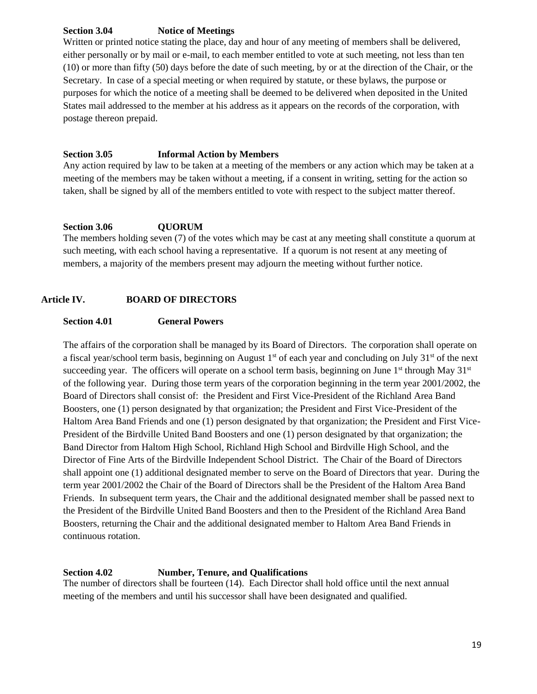#### **Section 3.04 Notice of Meetings**

Written or printed notice stating the place, day and hour of any meeting of members shall be delivered, either personally or by mail or e-mail, to each member entitled to vote at such meeting, not less than ten (10) or more than fifty (50) days before the date of such meeting, by or at the direction of the Chair, or the Secretary. In case of a special meeting or when required by statute, or these bylaws, the purpose or purposes for which the notice of a meeting shall be deemed to be delivered when deposited in the United States mail addressed to the member at his address as it appears on the records of the corporation, with postage thereon prepaid.

#### **Section 3.05 Informal Action by Members**

Any action required by law to be taken at a meeting of the members or any action which may be taken at a meeting of the members may be taken without a meeting, if a consent in writing, setting for the action so taken, shall be signed by all of the members entitled to vote with respect to the subject matter thereof.

#### **Section 3.06 QUORUM**

The members holding seven (7) of the votes which may be cast at any meeting shall constitute a quorum at such meeting, with each school having a representative. If a quorum is not resent at any meeting of members, a majority of the members present may adjourn the meeting without further notice.

#### **Article IV. BOARD OF DIRECTORS**

#### **Section 4.01 General Powers**

The affairs of the corporation shall be managed by its Board of Directors. The corporation shall operate on a fiscal year/school term basis, beginning on August  $1<sup>st</sup>$  of each year and concluding on July  $31<sup>st</sup>$  of the next succeeding year. The officers will operate on a school term basis, beginning on June  $1<sup>st</sup>$  through May  $31<sup>st</sup>$ of the following year. During those term years of the corporation beginning in the term year 2001/2002, the Board of Directors shall consist of: the President and First Vice-President of the Richland Area Band Boosters, one (1) person designated by that organization; the President and First Vice-President of the Haltom Area Band Friends and one (1) person designated by that organization; the President and First Vice-President of the Birdville United Band Boosters and one (1) person designated by that organization; the Band Director from Haltom High School, Richland High School and Birdville High School, and the Director of Fine Arts of the Birdville Independent School District. The Chair of the Board of Directors shall appoint one (1) additional designated member to serve on the Board of Directors that year. During the term year 2001/2002 the Chair of the Board of Directors shall be the President of the Haltom Area Band Friends. In subsequent term years, the Chair and the additional designated member shall be passed next to the President of the Birdville United Band Boosters and then to the President of the Richland Area Band Boosters, returning the Chair and the additional designated member to Haltom Area Band Friends in continuous rotation.

#### **Section 4.02 Number, Tenure, and Qualifications**

The number of directors shall be fourteen (14). Each Director shall hold office until the next annual meeting of the members and until his successor shall have been designated and qualified.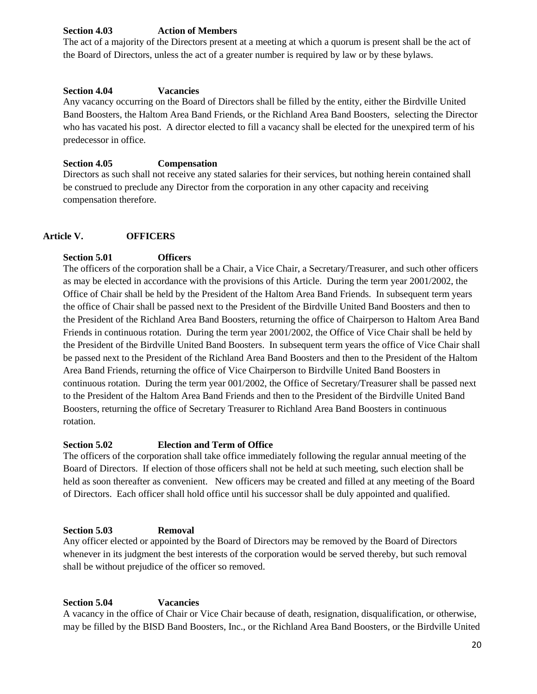# **Section 4.03 Action of Members**

The act of a majority of the Directors present at a meeting at which a quorum is present shall be the act of the Board of Directors, unless the act of a greater number is required by law or by these bylaws.

#### **Section 4.04 Vacancies**

Any vacancy occurring on the Board of Directors shall be filled by the entity, either the Birdville United Band Boosters, the Haltom Area Band Friends, or the Richland Area Band Boosters, selecting the Director who has vacated his post. A director elected to fill a vacancy shall be elected for the unexpired term of his predecessor in office.

#### **Section 4.05 Compensation**

Directors as such shall not receive any stated salaries for their services, but nothing herein contained shall be construed to preclude any Director from the corporation in any other capacity and receiving compensation therefore.

# **Article V. OFFICERS**

# **Section 5.01 Officers**

The officers of the corporation shall be a Chair, a Vice Chair, a Secretary/Treasurer, and such other officers as may be elected in accordance with the provisions of this Article. During the term year 2001/2002, the Office of Chair shall be held by the President of the Haltom Area Band Friends. In subsequent term years the office of Chair shall be passed next to the President of the Birdville United Band Boosters and then to the President of the Richland Area Band Boosters, returning the office of Chairperson to Haltom Area Band Friends in continuous rotation. During the term year 2001/2002, the Office of Vice Chair shall be held by the President of the Birdville United Band Boosters. In subsequent term years the office of Vice Chair shall be passed next to the President of the Richland Area Band Boosters and then to the President of the Haltom Area Band Friends, returning the office of Vice Chairperson to Birdville United Band Boosters in continuous rotation. During the term year 001/2002, the Office of Secretary/Treasurer shall be passed next to the President of the Haltom Area Band Friends and then to the President of the Birdville United Band Boosters, returning the office of Secretary Treasurer to Richland Area Band Boosters in continuous rotation.

# **Section 5.02 Election and Term of Office**

The officers of the corporation shall take office immediately following the regular annual meeting of the Board of Directors. If election of those officers shall not be held at such meeting, such election shall be held as soon thereafter as convenient. New officers may be created and filled at any meeting of the Board of Directors. Each officer shall hold office until his successor shall be duly appointed and qualified.

# **Section 5.03 Removal**

Any officer elected or appointed by the Board of Directors may be removed by the Board of Directors whenever in its judgment the best interests of the corporation would be served thereby, but such removal shall be without prejudice of the officer so removed.

# **Section 5.04 Vacancies**

A vacancy in the office of Chair or Vice Chair because of death, resignation, disqualification, or otherwise, may be filled by the BISD Band Boosters, Inc., or the Richland Area Band Boosters, or the Birdville United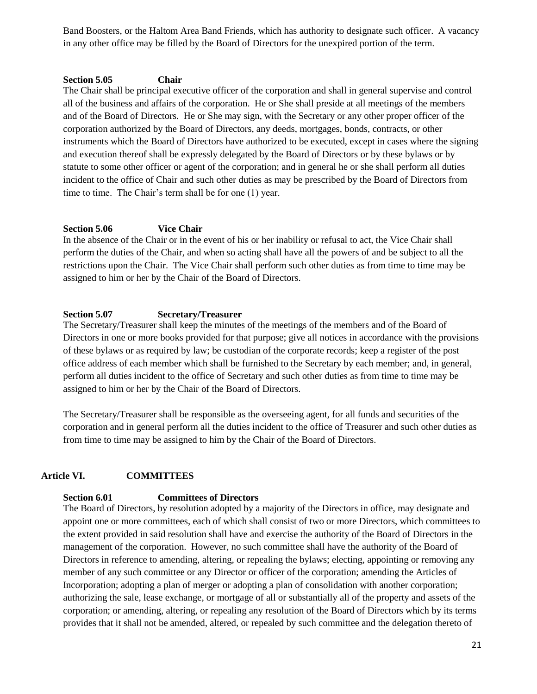Band Boosters, or the Haltom Area Band Friends, which has authority to designate such officer. A vacancy in any other office may be filled by the Board of Directors for the unexpired portion of the term.

#### **Section 5.05 Chair**

The Chair shall be principal executive officer of the corporation and shall in general supervise and control all of the business and affairs of the corporation. He or She shall preside at all meetings of the members and of the Board of Directors. He or She may sign, with the Secretary or any other proper officer of the corporation authorized by the Board of Directors, any deeds, mortgages, bonds, contracts, or other instruments which the Board of Directors have authorized to be executed, except in cases where the signing and execution thereof shall be expressly delegated by the Board of Directors or by these bylaws or by statute to some other officer or agent of the corporation; and in general he or she shall perform all duties incident to the office of Chair and such other duties as may be prescribed by the Board of Directors from time to time. The Chair's term shall be for one (1) year.

#### **Section 5.06 Vice Chair**

In the absence of the Chair or in the event of his or her inability or refusal to act, the Vice Chair shall perform the duties of the Chair, and when so acting shall have all the powers of and be subject to all the restrictions upon the Chair. The Vice Chair shall perform such other duties as from time to time may be assigned to him or her by the Chair of the Board of Directors.

### **Section 5.07 Secretary/Treasurer**

The Secretary/Treasurer shall keep the minutes of the meetings of the members and of the Board of Directors in one or more books provided for that purpose; give all notices in accordance with the provisions of these bylaws or as required by law; be custodian of the corporate records; keep a register of the post office address of each member which shall be furnished to the Secretary by each member; and, in general, perform all duties incident to the office of Secretary and such other duties as from time to time may be assigned to him or her by the Chair of the Board of Directors.

The Secretary/Treasurer shall be responsible as the overseeing agent, for all funds and securities of the corporation and in general perform all the duties incident to the office of Treasurer and such other duties as from time to time may be assigned to him by the Chair of the Board of Directors.

# **Article VI. COMMITTEES**

#### **Section 6.01 Committees of Directors**

The Board of Directors, by resolution adopted by a majority of the Directors in office, may designate and appoint one or more committees, each of which shall consist of two or more Directors, which committees to the extent provided in said resolution shall have and exercise the authority of the Board of Directors in the management of the corporation. However, no such committee shall have the authority of the Board of Directors in reference to amending, altering, or repealing the bylaws; electing, appointing or removing any member of any such committee or any Director or officer of the corporation; amending the Articles of Incorporation; adopting a plan of merger or adopting a plan of consolidation with another corporation; authorizing the sale, lease exchange, or mortgage of all or substantially all of the property and assets of the corporation; or amending, altering, or repealing any resolution of the Board of Directors which by its terms provides that it shall not be amended, altered, or repealed by such committee and the delegation thereto of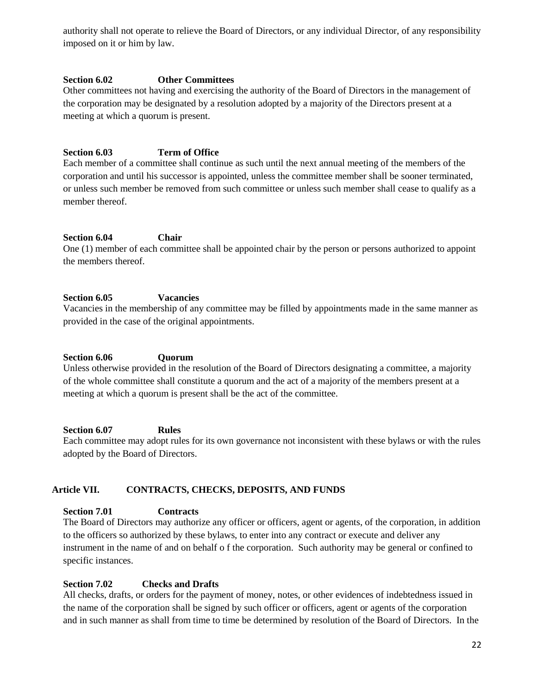authority shall not operate to relieve the Board of Directors, or any individual Director, of any responsibility imposed on it or him by law.

#### **Section 6.02 Other Committees**

Other committees not having and exercising the authority of the Board of Directors in the management of the corporation may be designated by a resolution adopted by a majority of the Directors present at a meeting at which a quorum is present.

# **Section 6.03 Term of Office**

Each member of a committee shall continue as such until the next annual meeting of the members of the corporation and until his successor is appointed, unless the committee member shall be sooner terminated, or unless such member be removed from such committee or unless such member shall cease to qualify as a member thereof.

#### **Section 6.04 Chair**

One (1) member of each committee shall be appointed chair by the person or persons authorized to appoint the members thereof.

#### **Section 6.05 Vacancies**

Vacancies in the membership of any committee may be filled by appointments made in the same manner as provided in the case of the original appointments.

#### **Section 6.06 Quorum**

Unless otherwise provided in the resolution of the Board of Directors designating a committee, a majority of the whole committee shall constitute a quorum and the act of a majority of the members present at a meeting at which a quorum is present shall be the act of the committee.

#### **Section 6.07 Rules**

Each committee may adopt rules for its own governance not inconsistent with these bylaws or with the rules adopted by the Board of Directors.

# **Article VII. CONTRACTS, CHECKS, DEPOSITS, AND FUNDS**

# **Section 7.01 Contracts**

The Board of Directors may authorize any officer or officers, agent or agents, of the corporation, in addition to the officers so authorized by these bylaws, to enter into any contract or execute and deliver any instrument in the name of and on behalf o f the corporation. Such authority may be general or confined to specific instances.

# **Section 7.02 Checks and Drafts**

All checks, drafts, or orders for the payment of money, notes, or other evidences of indebtedness issued in the name of the corporation shall be signed by such officer or officers, agent or agents of the corporation and in such manner as shall from time to time be determined by resolution of the Board of Directors. In the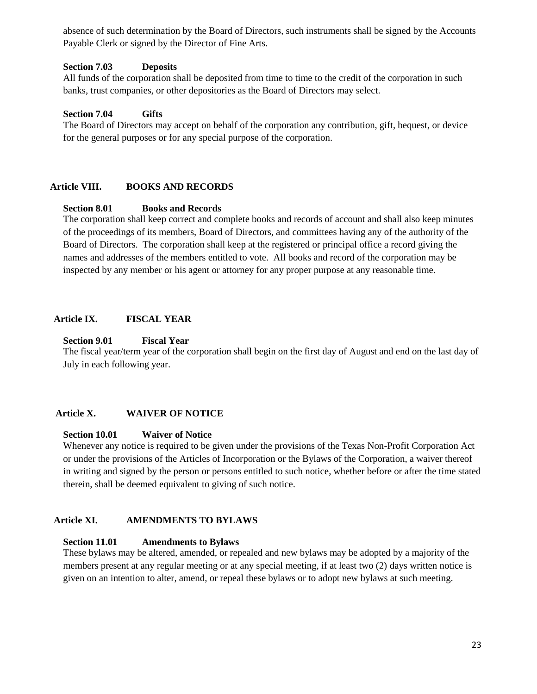absence of such determination by the Board of Directors, such instruments shall be signed by the Accounts Payable Clerk or signed by the Director of Fine Arts.

#### **Section 7.03 Deposits**

All funds of the corporation shall be deposited from time to time to the credit of the corporation in such banks, trust companies, or other depositories as the Board of Directors may select.

#### **Section 7.04 Gifts**

The Board of Directors may accept on behalf of the corporation any contribution, gift, bequest, or device for the general purposes or for any special purpose of the corporation.

#### **Article VIII. BOOKS AND RECORDS**

#### **Section 8.01 Books and Records**

The corporation shall keep correct and complete books and records of account and shall also keep minutes of the proceedings of its members, Board of Directors, and committees having any of the authority of the Board of Directors. The corporation shall keep at the registered or principal office a record giving the names and addresses of the members entitled to vote. All books and record of the corporation may be inspected by any member or his agent or attorney for any proper purpose at any reasonable time.

#### **Article IX. FISCAL YEAR**

#### **Section 9.01 Fiscal Year**

The fiscal year/term year of the corporation shall begin on the first day of August and end on the last day of July in each following year.

#### **Article X. WAIVER OF NOTICE**

#### **Section 10.01 Waiver of Notice**

Whenever any notice is required to be given under the provisions of the Texas Non-Profit Corporation Act or under the provisions of the Articles of Incorporation or the Bylaws of the Corporation, a waiver thereof in writing and signed by the person or persons entitled to such notice, whether before or after the time stated therein, shall be deemed equivalent to giving of such notice.

#### **Article XI. AMENDMENTS TO BYLAWS**

#### **Section 11.01 Amendments to Bylaws**

These bylaws may be altered, amended, or repealed and new bylaws may be adopted by a majority of the members present at any regular meeting or at any special meeting, if at least two (2) days written notice is given on an intention to alter, amend, or repeal these bylaws or to adopt new bylaws at such meeting.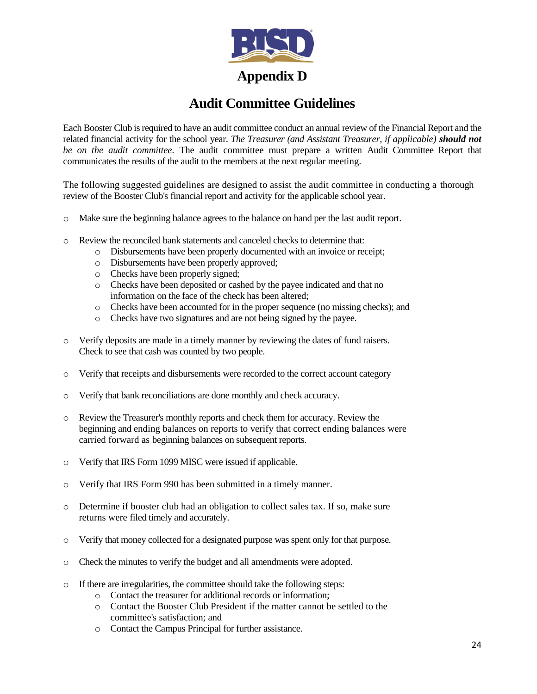

# **Audit Committee Guidelines**

Each Booster Club is required to have an audit committee conduct an annual review of the Financial Report and the related financial activity for the school year. *The Treasurer (and Assistant Treasurer, if applicable) should not be on the audit committee.* The audit committee must prepare a written Audit Committee Report that communicates the results of the audit to the members at the next regular meeting.

The following suggested guidelines are designed to assist the audit committee in conducting a thorough review of the Booster Club's financial report and activity for the applicable school year.

- o Make sure the beginning balance agrees to the balance on hand per the last audit report.
- o Review the reconciled bank statements and canceled checks to determine that:
	- o Disbursements have been properly documented with an invoice or receipt;
	- o Disbursements have been properly approved;
	- o Checks have been properly signed;
	- o Checks have been deposited or cashed by the payee indicated and that no information on the face of the check has been altered;
	- o Checks have been accounted for in the proper sequence (no missing checks); and
	- o Checks have two signatures and are not being signed by the payee.
- o Verify deposits are made in a timely manner by reviewing the dates of fund raisers. Check to see that cash was counted by two people.
- o Verify that receipts and disbursements were recorded to the correct account category
- o Verify that bank reconciliations are done monthly and check accuracy.
- Review the Treasurer's monthly reports and check them for accuracy. Review the beginning and ending balances on reports to verify that correct ending balances were carried forward as beginning balances on subsequent reports.
- o Verify that IRS Form 1099 MISC were issued if applicable.
- o Verify that IRS Form 990 has been submitted in a timely manner.
- o Determine if booster club had an obligation to collect sales tax. If so, make sure returns were filed timely and accurately.
- o Verify that money collected for a designated purpose was spent only for that purpose.
- o Check the minutes to verify the budget and all amendments were adopted.
- o If there are irregularities, the committee should take the following steps:
	- o Contact the treasurer for additional records or information;
	- o Contact the Booster Club President if the matter cannot be settled to the committee's satisfaction; and
	- o Contact the Campus Principal for further assistance.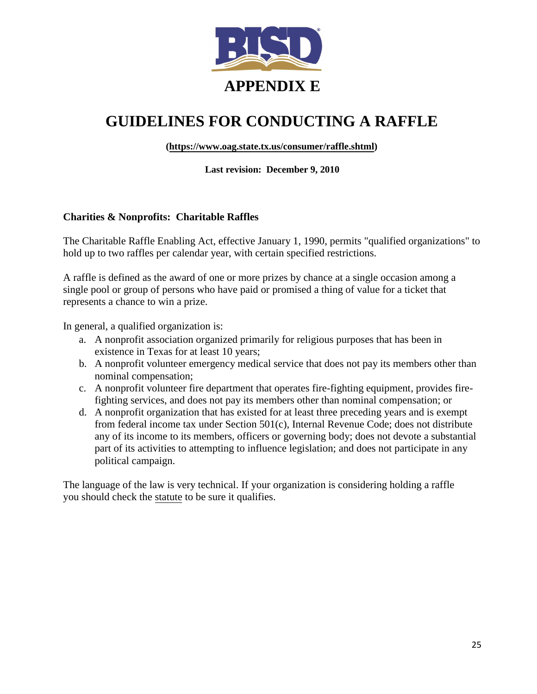

# **GUIDELINES FOR CONDUCTING A RAFFLE**

**[\(https://www.oag.state.tx.us/consumer/raffle.shtml\)](https://www.oag.state.tx.us/consumer/raffle.shtml)**

**Last revision: December 9, 2010** 

# **Charities & Nonprofits: Charitable Raffles**

The Charitable Raffle Enabling Act, effective January 1, 1990, permits "qualified organizations" to hold up to two raffles per calendar year, with certain specified restrictions.

A raffle is defined as the award of one or more prizes by chance at a single occasion among a single pool or group of persons who have paid or promised a thing of value for a ticket that represents a chance to win a prize.

In general, a qualified organization is:

- a. A nonprofit association organized primarily for religious purposes that has been in existence in Texas for at least 10 years;
- b. A nonprofit volunteer emergency medical service that does not pay its members other than nominal compensation;
- c. A nonprofit volunteer fire department that operates fire-fighting equipment, provides firefighting services, and does not pay its members other than nominal compensation; or
- d. A nonprofit organization that has existed for at least three preceding years and is exempt from federal income tax under Section 501(c), Internal Revenue Code; does not distribute any of its income to its members, officers or governing body; does not devote a substantial part of its activities to attempting to influence legislation; and does not participate in any political campaign.

The language of the law is very technical. If your organization is considering holding a raffle you should chec[k the sta](http://www.statutes.legis.state.tx.us/Docs/OC/htm/OC.2002.htm)tute to be sure it qualifies.